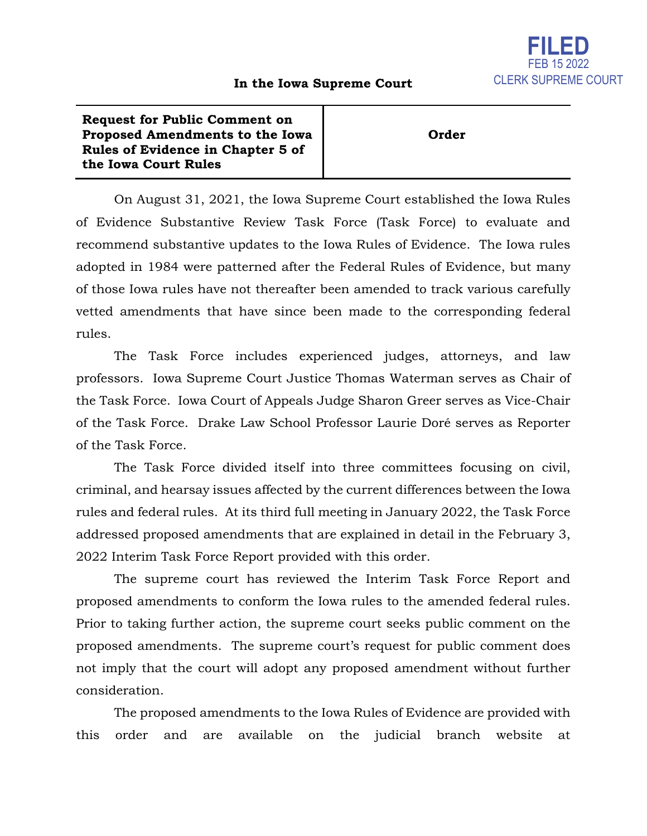## **In the Iowa Supreme Court**

**Request for Public Comment on Proposed Amendments to the Iowa Rules of Evidence in Chapter 5 of the Iowa Court Rules**

**Order**

On August 31, 2021, the Iowa Supreme Court established the Iowa Rules of Evidence Substantive Review Task Force (Task Force) to evaluate and recommend substantive updates to the Iowa Rules of Evidence. The Iowa rules adopted in 1984 were patterned after the Federal Rules of Evidence, but many of those Iowa rules have not thereafter been amended to track various carefully vetted amendments that have since been made to the corresponding federal rules.

The Task Force includes experienced judges, attorneys, and law professors. Iowa Supreme Court Justice Thomas Waterman serves as Chair of the Task Force. Iowa Court of Appeals Judge Sharon Greer serves as Vice-Chair of the Task Force. Drake Law School Professor Laurie Doré serves as Reporter of the Task Force.

The Task Force divided itself into three committees focusing on civil, criminal, and hearsay issues affected by the current differences between the Iowa rules and federal rules. At its third full meeting in January 2022, the Task Force addressed proposed amendments that are explained in detail in the February 3, 2022 Interim Task Force Report provided with this order.

The supreme court has reviewed the Interim Task Force Report and proposed amendments to conform the Iowa rules to the amended federal rules. Prior to taking further action, the supreme court seeks public comment on the proposed amendments. The supreme court's request for public comment does not imply that the court will adopt any proposed amendment without further consideration.

The proposed amendments to the Iowa Rules of Evidence are provided with this order and are available on the judicial branch website at